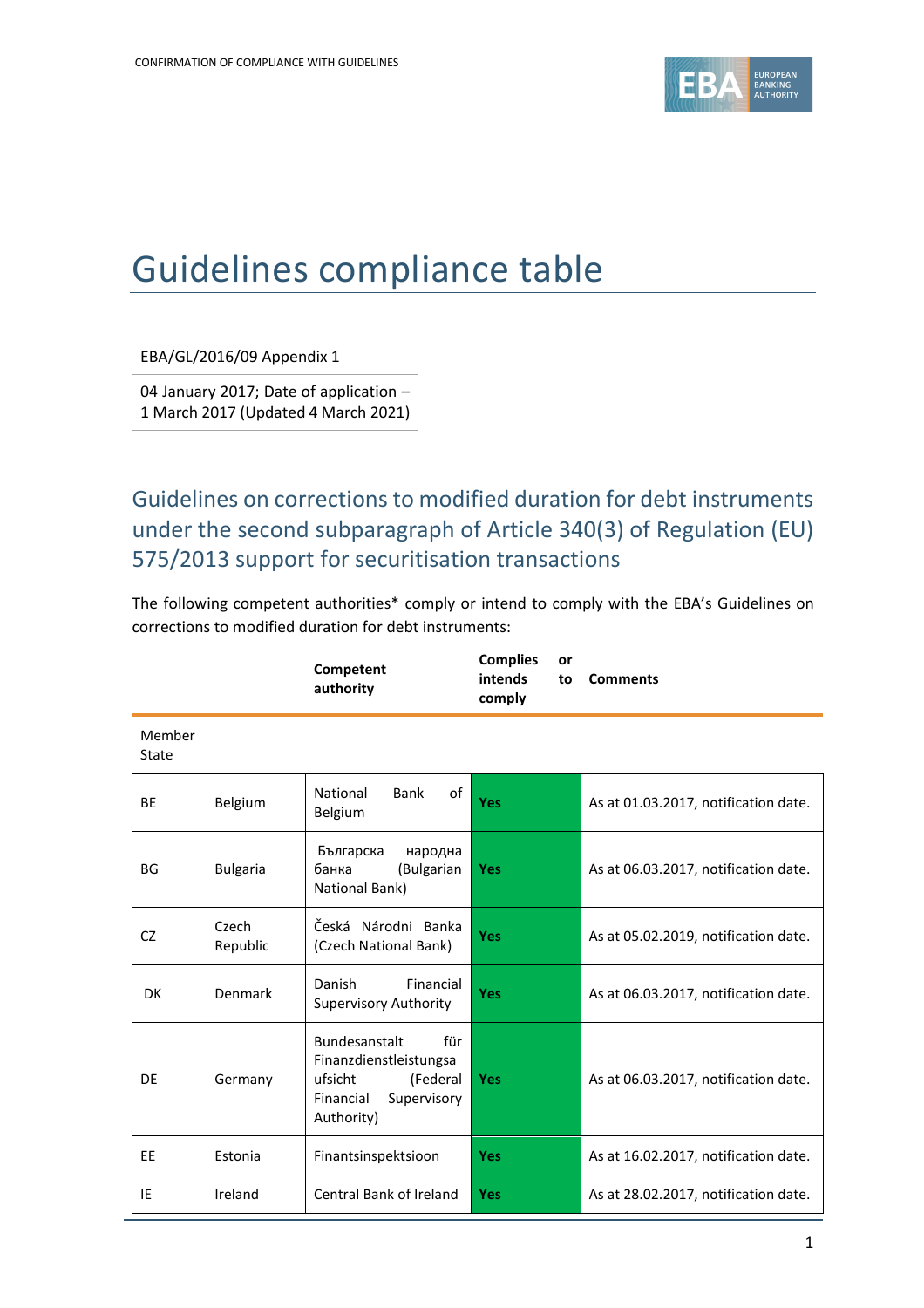

## Guidelines compliance table

EBA/GL/2016/09 Appendix 1

04 January 2017; Date of application – 1 March 2017 (Updated 4 March 2021)

Guidelines on corrections to modified duration for debt instruments under the second subparagraph of Article 340(3) of Regulation (EU) 575/2013 support for securitisation transactions

The following competent authorities\* comply or intend to comply with the EBA's Guidelines on corrections to modified duration for debt instruments:

|                 |                   | Competent<br>authority                                                                                          | <b>Complies</b><br>or<br>intends<br>to<br>comply | <b>Comments</b>                      |
|-----------------|-------------------|-----------------------------------------------------------------------------------------------------------------|--------------------------------------------------|--------------------------------------|
| Member<br>State |                   |                                                                                                                 |                                                  |                                      |
| <b>BE</b>       | Belgium           | National<br><b>Bank</b><br>of<br>Belgium                                                                        | Yes                                              | As at 01.03.2017, notification date. |
| BG              | <b>Bulgaria</b>   | Българска<br>народна<br>банка<br>(Bulgarian<br>National Bank)                                                   | <b>Yes</b>                                       | As at 06.03.2017, notification date. |
| CZ              | Czech<br>Republic | Česká Národni Banka<br>(Czech National Bank)                                                                    | <b>Yes</b>                                       | As at 05.02.2019, notification date. |
| DK              | Denmark           | Danish<br>Financial<br><b>Supervisory Authority</b>                                                             | Yes                                              | As at 06.03.2017, notification date. |
| DF              | Germany           | Bundesanstalt<br>für<br>Finanzdienstleistungsa<br>ufsicht<br>(Federal<br>Supervisory<br>Financial<br>Authority) | Yes                                              | As at 06.03.2017, notification date. |
| EE              | Estonia           | Finantsinspektsioon                                                                                             | <b>Yes</b>                                       | As at 16.02.2017, notification date. |
| IE              | Ireland           | Central Bank of Ireland                                                                                         | Yes                                              | As at 28.02.2017, notification date. |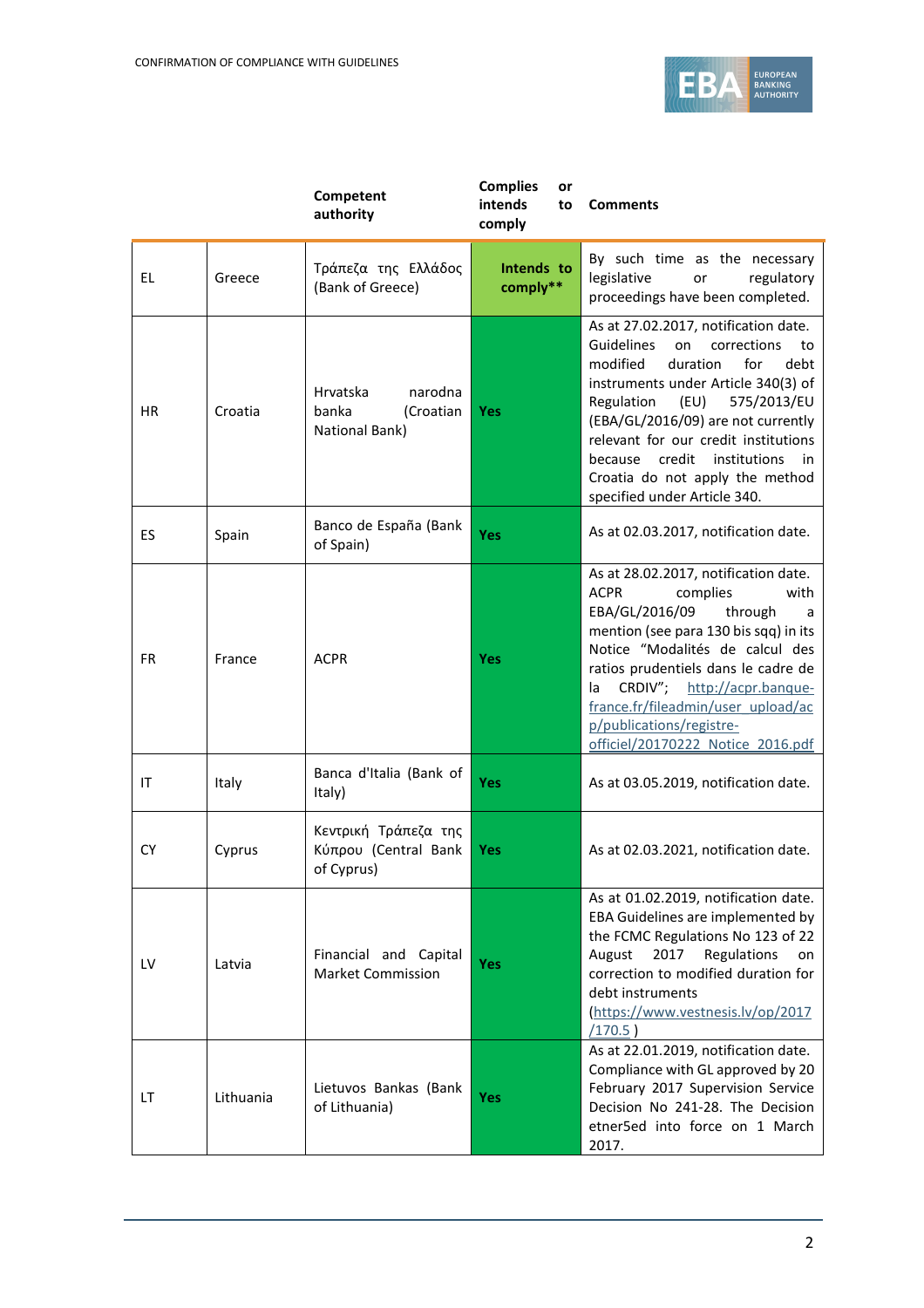

|           |           | Competent<br>authority                                      | <b>Complies</b><br>or<br>intends<br>to<br>comply | <b>Comments</b>                                                                                                                                                                                                                                                                                                                                                                                  |
|-----------|-----------|-------------------------------------------------------------|--------------------------------------------------|--------------------------------------------------------------------------------------------------------------------------------------------------------------------------------------------------------------------------------------------------------------------------------------------------------------------------------------------------------------------------------------------------|
| EL        | Greece    | Τράπεζα της Ελλάδος<br>(Bank of Greece)                     | Intends to<br>comply**                           | By such time as the necessary<br>legislative<br>regulatory<br>or<br>proceedings have been completed.                                                                                                                                                                                                                                                                                             |
| <b>HR</b> | Croatia   | Hrvatska<br>narodna<br>banka<br>(Croatian<br>National Bank) | <b>Yes</b>                                       | As at 27.02.2017, notification date.<br><b>Guidelines</b><br>on<br>corrections<br>to<br>modified<br>for<br>duration<br>debt<br>instruments under Article 340(3) of<br>Regulation<br>(EU)<br>575/2013/EU<br>(EBA/GL/2016/09) are not currently<br>relevant for our credit institutions<br>credit institutions<br>because<br>in<br>Croatia do not apply the method<br>specified under Article 340. |
| ES        | Spain     | Banco de España (Bank<br>of Spain)                          | Yes                                              | As at 02.03.2017, notification date.                                                                                                                                                                                                                                                                                                                                                             |
| FR.       | France    | <b>ACPR</b>                                                 | <b>Yes</b>                                       | As at 28.02.2017, notification date.<br><b>ACPR</b><br>complies<br>with<br>EBA/GL/2016/09<br>through<br>a<br>mention (see para 130 bis sqq) in its<br>Notice "Modalités de calcul des<br>ratios prudentiels dans le cadre de<br>CRDIV";<br>http://acpr.banque-<br>la.<br>france.fr/fileadmin/user_upload/ac<br>p/publications/registre-<br>officiel/20170222 Notice 2016.pdf                     |
| ΙT        | Italy     | Banca d'Italia (Bank of<br>Italy)                           | Yes                                              | As at 03.05.2019, notification date.                                                                                                                                                                                                                                                                                                                                                             |
| CΥ        | Cyprus    | Κεντρική Τράπεζα της<br>Κύπρου (Central Bank<br>of Cyprus)  | <b>Yes</b>                                       | As at 02.03.2021, notification date.                                                                                                                                                                                                                                                                                                                                                             |
| LV        | Latvia    | Financial and Capital<br><b>Market Commission</b>           | Yes                                              | As at 01.02.2019, notification date.<br>EBA Guidelines are implemented by<br>the FCMC Regulations No 123 of 22<br>August<br>2017<br>Regulations<br>on<br>correction to modified duration for<br>debt instruments<br>https://www.vestnesis.lv/op/2017<br>(170.5)                                                                                                                                  |
| LT        | Lithuania | Lietuvos Bankas (Bank<br>of Lithuania)                      | Yes                                              | As at 22.01.2019, notification date.<br>Compliance with GL approved by 20<br>February 2017 Supervision Service<br>Decision No 241-28. The Decision<br>etner5ed into force on 1 March<br>2017.                                                                                                                                                                                                    |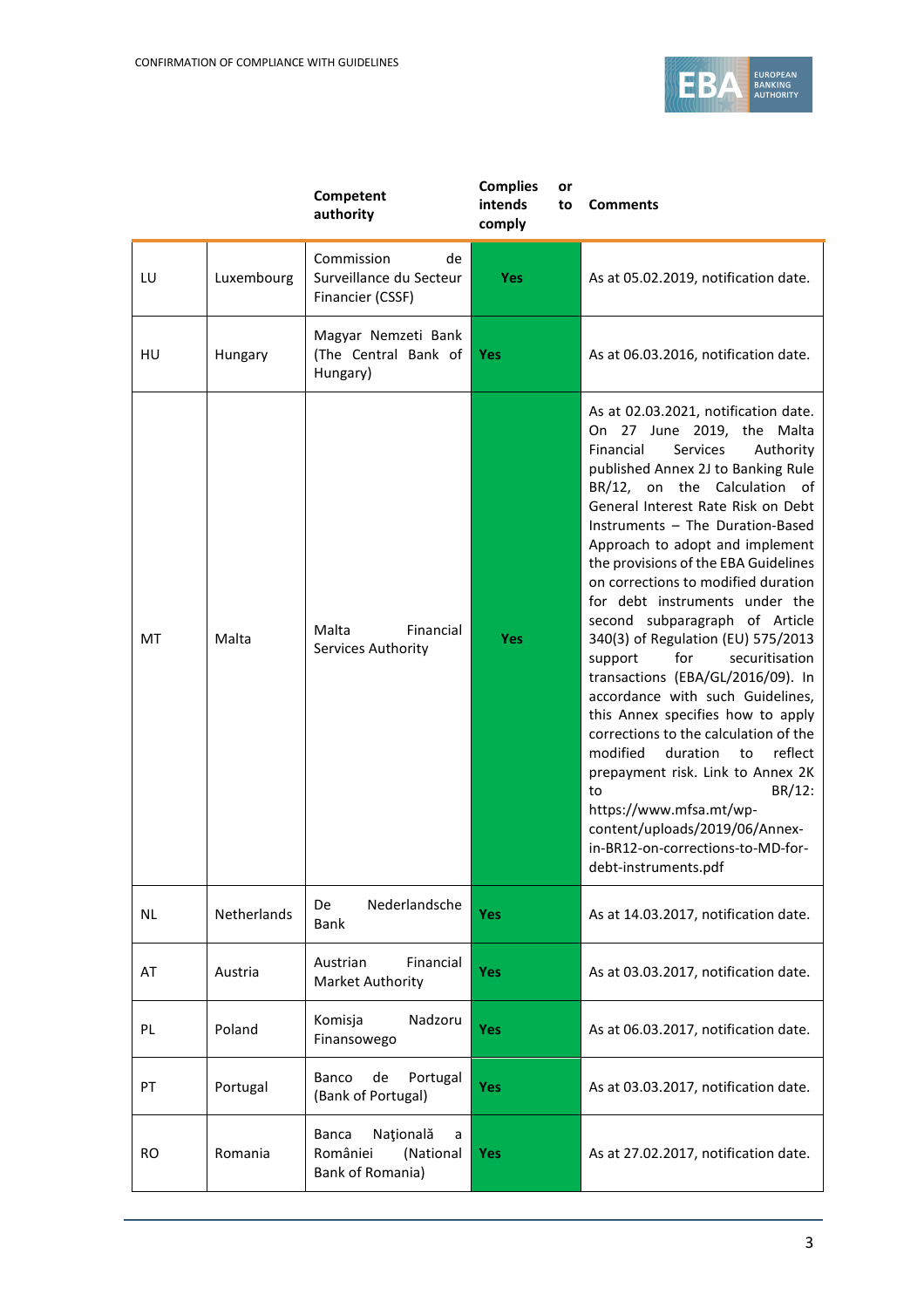

|           |             | Competent<br>authority                                                      | <b>Complies</b><br>or<br>intends<br>to<br>comply | <b>Comments</b>                                                                                                                                                                                                                                                                                                                                                                                                                                                                                                                                                                                                                                                                                                                                                                                                                                                                                         |
|-----------|-------------|-----------------------------------------------------------------------------|--------------------------------------------------|---------------------------------------------------------------------------------------------------------------------------------------------------------------------------------------------------------------------------------------------------------------------------------------------------------------------------------------------------------------------------------------------------------------------------------------------------------------------------------------------------------------------------------------------------------------------------------------------------------------------------------------------------------------------------------------------------------------------------------------------------------------------------------------------------------------------------------------------------------------------------------------------------------|
| LU        | Luxembourg  | Commission<br>de<br>Surveillance du Secteur<br>Financier (CSSF)             | <b>Yes</b>                                       | As at 05.02.2019, notification date.                                                                                                                                                                                                                                                                                                                                                                                                                                                                                                                                                                                                                                                                                                                                                                                                                                                                    |
| HU        | Hungary     | Magyar Nemzeti Bank<br>(The Central Bank of<br>Hungary)                     | Yes                                              | As at 06.03.2016, notification date.                                                                                                                                                                                                                                                                                                                                                                                                                                                                                                                                                                                                                                                                                                                                                                                                                                                                    |
| MT        | Malta       | Malta<br>Financial<br>Services Authority                                    | <b>Yes</b>                                       | As at 02.03.2021, notification date.<br>On 27 June 2019, the Malta<br>Financial<br>Services<br>Authority<br>published Annex 2J to Banking Rule<br>BR/12, on the Calculation of<br>General Interest Rate Risk on Debt<br>Instruments - The Duration-Based<br>Approach to adopt and implement<br>the provisions of the EBA Guidelines<br>on corrections to modified duration<br>for debt instruments under the<br>second subparagraph of Article<br>340(3) of Regulation (EU) 575/2013<br>for<br>securitisation<br>support<br>transactions (EBA/GL/2016/09). In<br>accordance with such Guidelines,<br>this Annex specifies how to apply<br>corrections to the calculation of the<br>modified<br>duration<br>reflect<br>to<br>prepayment risk. Link to Annex 2K<br>BR/12:<br>to<br>https://www.mfsa.mt/wp-<br>content/uploads/2019/06/Annex-<br>in-BR12-on-corrections-to-MD-for-<br>debt-instruments.pdf |
| NL.       | Netherlands | Nederlandsche<br>De<br>Bank                                                 | Yes                                              | As at 14.03.2017, notification date.                                                                                                                                                                                                                                                                                                                                                                                                                                                                                                                                                                                                                                                                                                                                                                                                                                                                    |
| AT        | Austria     | Financial<br>Austrian<br>Market Authority                                   | Yes                                              | As at 03.03.2017, notification date.                                                                                                                                                                                                                                                                                                                                                                                                                                                                                                                                                                                                                                                                                                                                                                                                                                                                    |
| PL        | Poland      | Komisja<br>Nadzoru<br>Finansowego                                           | <b>Yes</b>                                       | As at 06.03.2017, notification date.                                                                                                                                                                                                                                                                                                                                                                                                                                                                                                                                                                                                                                                                                                                                                                                                                                                                    |
| PT        | Portugal    | Banco<br>de<br>Portugal<br>(Bank of Portugal)                               | Yes                                              | As at 03.03.2017, notification date.                                                                                                                                                                                                                                                                                                                                                                                                                                                                                                                                                                                                                                                                                                                                                                                                                                                                    |
| <b>RO</b> | Romania     | Națională<br><b>Banca</b><br>a<br>României<br>(National<br>Bank of Romania) | <b>Yes</b>                                       | As at 27.02.2017, notification date.                                                                                                                                                                                                                                                                                                                                                                                                                                                                                                                                                                                                                                                                                                                                                                                                                                                                    |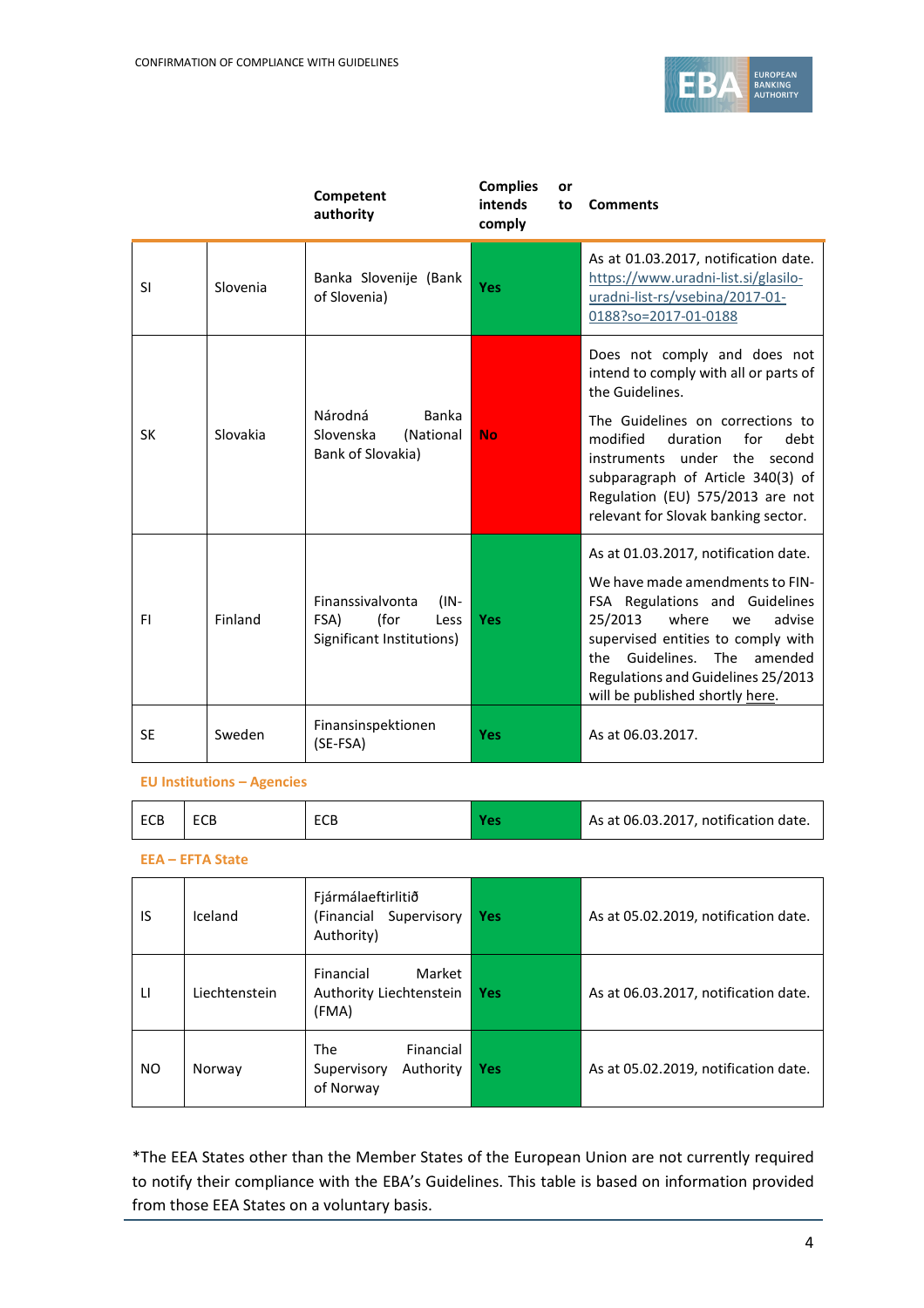

|           |          | Competent<br>authority                                                           | <b>Complies</b><br>or<br>intends<br>to<br>comply | <b>Comments</b>                                                                                                                                                                                                                                                                                                     |
|-----------|----------|----------------------------------------------------------------------------------|--------------------------------------------------|---------------------------------------------------------------------------------------------------------------------------------------------------------------------------------------------------------------------------------------------------------------------------------------------------------------------|
| <b>SI</b> | Slovenia | Banka Slovenije (Bank<br>of Slovenia)                                            | <b>Yes</b>                                       | As at 01.03.2017, notification date.<br>https://www.uradni-list.si/glasilo-<br>uradni-list-rs/vsebina/2017-01-<br>0188?so=2017-01-0188                                                                                                                                                                              |
| <b>SK</b> | Slovakia | Národná<br><b>Banka</b><br>Slovenska<br>(National<br>Bank of Slovakia)           | <b>No</b>                                        | Does not comply and does not<br>intend to comply with all or parts of<br>the Guidelines.<br>The Guidelines on corrections to<br>modified<br>duration<br>for<br>debt<br>instruments under the second<br>subparagraph of Article 340(3) of<br>Regulation (EU) 575/2013 are not<br>relevant for Slovak banking sector. |
| FI        | Finland  | Finanssivalvonta<br>$(IN -$<br>(for<br>FSA)<br>Less<br>Significant Institutions) | <b>Yes</b>                                       | As at 01.03.2017, notification date.<br>We have made amendments to FIN-<br>FSA Regulations and Guidelines<br>25/2013<br>where<br>advise<br>we<br>supervised entities to comply with<br>the Guidelines. The amended<br>Regulations and Guidelines 25/2013<br>will be published shortly here.                         |
| <b>SE</b> | Sweden   | Finansinspektionen<br>(SE-FSA)                                                   | Yes                                              | As at 06.03.2017.                                                                                                                                                                                                                                                                                                   |

## **EU Institutions – Agencies**

| ECB<br>ECB<br>ECB |  | As at 06.03.2017, notification date. |
|-------------------|--|--------------------------------------|
|-------------------|--|--------------------------------------|

## **EEA – EFTA State**

| 1S  | Iceland       | Fjármálaeftirlitið<br>(Financial<br>Supervisory<br>Authority)    | Yes        | As at 05.02.2019, notification date. |
|-----|---------------|------------------------------------------------------------------|------------|--------------------------------------|
| LI  | Liechtenstein | Financial<br>Market<br>Authority Liechtenstein<br>(FMA)          | Yes        | As at 06.03.2017, notification date. |
| NO. | Norway        | <b>The</b><br>Financial<br>Authority<br>Supervisory<br>of Norway | <b>Yes</b> | As at 05.02.2019, notification date. |

\*The EEA States other than the Member States of the European Union are not currently required to notify their compliance with the EBA's Guidelines. This table is based on information provided from those EEA States on a voluntary basis.